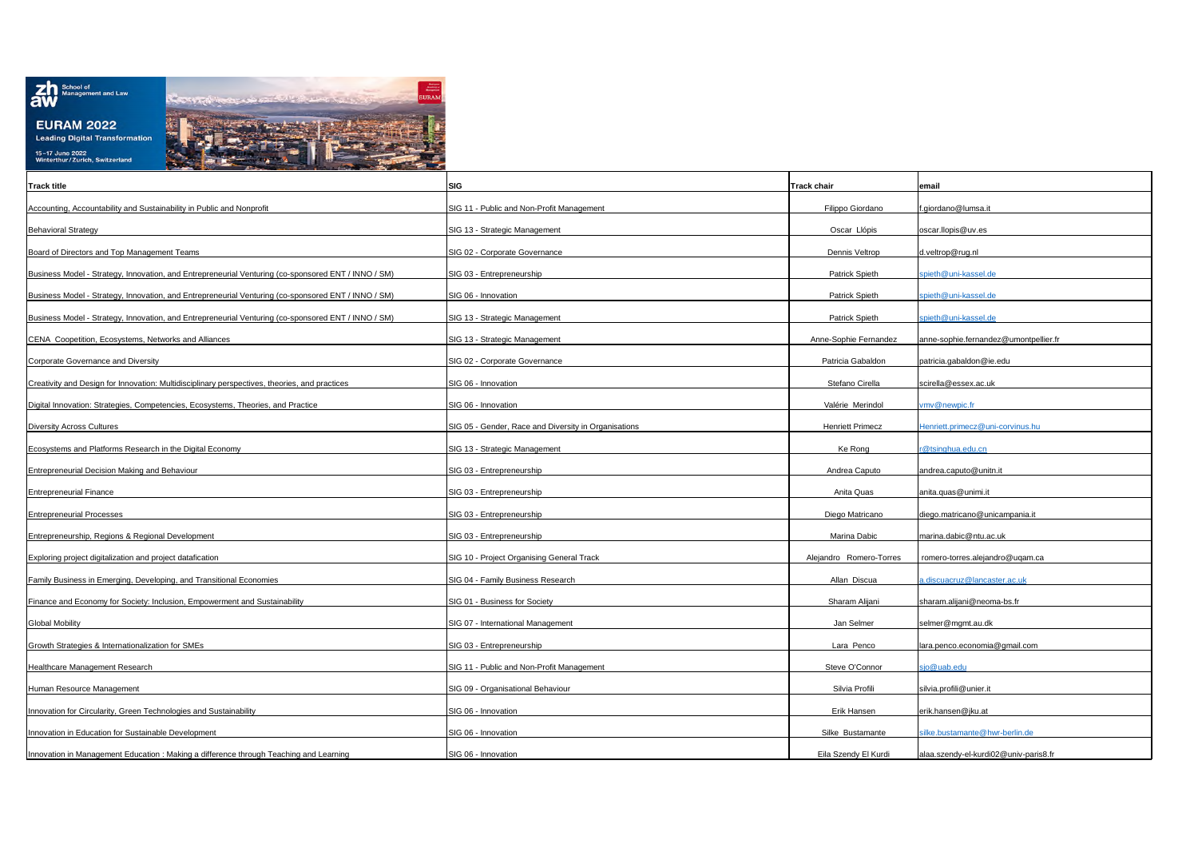

| <b>Track title</b>                                                                                  | SIG                                                  | <b>Track chair</b>      | email                                 |
|-----------------------------------------------------------------------------------------------------|------------------------------------------------------|-------------------------|---------------------------------------|
| Accounting, Accountability and Sustainability in Public and Nonprofit                               | SIG 11 - Public and Non-Profit Management            | Filippo Giordano        | .giordano@lumsa.it                    |
| <b>Behavioral Strategy</b>                                                                          | SIG 13 - Strategic Management                        | Oscar Llópis            | oscar.llopis@uv.es                    |
| Board of Directors and Top Management Teams                                                         | SIG 02 - Corporate Governance                        | Dennis Veltrop          | d.veltrop@rug.nl                      |
| Business Model - Strategy, Innovation, and Entrepreneurial Venturing (co-sponsored ENT / INNO / SM) | SIG 03 - Entrepreneurship                            | Patrick Spieth          | spieth@uni-kassel.de                  |
| Business Model - Strategy, Innovation, and Entrepreneurial Venturing (co-sponsored ENT / INNO / SM) | SIG 06 - Innovation                                  | Patrick Spieth          | spieth@uni-kassel.de                  |
| Business Model - Strategy, Innovation, and Entrepreneurial Venturing (co-sponsored ENT / INNO / SM) | SIG 13 - Strategic Management                        | Patrick Spieth          | pieth@uni-kassel.de                   |
|                                                                                                     |                                                      |                         |                                       |
| CENA Coopetition, Ecosystems, Networks and Alliances                                                | SIG 13 - Strategic Management                        | Anne-Sophie Fernandez   | anne-sophie.fernandez@umontpellier.fr |
| Corporate Governance and Diversity                                                                  | SIG 02 - Corporate Governance                        | Patricia Gabaldon       | patricia.gabaldon@ie.edu              |
| Creativity and Design for Innovation: Multidisciplinary perspectives, theories, and practices       | SIG 06 - Innovation                                  | Stefano Cirella         | scirella@essex.ac.uk                  |
| Digital Innovation: Strategies, Competencies, Ecosystems, Theories, and Practice                    | SIG 06 - Innovation                                  | Valérie Merindol        | vmv@newpic.fr                         |
| <b>Diversity Across Cultures</b>                                                                    | SIG 05 - Gender, Race and Diversity in Organisations | <b>Henriett Primecz</b> | lenriett.primecz@uni-corvinus.hu      |
| Ecosystems and Platforms Research in the Digital Economy                                            | SIG 13 - Strategic Management                        | Ke Rong                 | r@tsinghua.edu.cn                     |
| Entrepreneurial Decision Making and Behaviour                                                       | SIG 03 - Entrepreneurship                            | Andrea Caputo           | andrea.caputo@unitn.it                |
| <b>Entrepreneurial Finance</b>                                                                      | SIG 03 - Entrepreneurship                            | Anita Quas              | anita.quas@unimi.it                   |
| <b>Entrepreneurial Processes</b>                                                                    | SIG 03 - Entrepreneurship                            | Diego Matricano         | diego.matricano@unicampania.it        |
|                                                                                                     |                                                      |                         |                                       |
| Entrepreneurship, Regions & Regional Development                                                    | SIG 03 - Entrepreneurship                            | Marina Dabic            | marina.dabic@ntu.ac.uk                |
| Exploring project digitalization and project datafication                                           | SIG 10 - Project Organising General Track            | Alejandro Romero-Torres | romero-torres.alejandro@uqam.ca       |
| Family Business in Emerging, Developing, and Transitional Economies                                 | SIG 04 - Family Business Research                    | Allan Discua            | discuacruz@lancaster.ac.uk            |
| Finance and Economy for Society: Inclusion, Empowerment and Sustainability                          | SIG 01 - Business for Society                        | Sharam Alijani          | sharam.alijani@neoma-bs.fr            |
| <b>Global Mobility</b>                                                                              | SIG 07 - International Management                    | Jan Selmer              | selmer@mgmt.au.dk                     |
| Growth Strategies & Internationalization for SMEs                                                   | SIG 03 - Entrepreneurship                            | Lara Penco              | lara.penco.economia@gmail.com         |
| Healthcare Management Research                                                                      | SIG 11 - Public and Non-Profit Management            | Steve O'Connor          | sjo@uab.edu                           |
| Human Resource Management                                                                           | SIG 09 - Organisational Behaviour                    | Silvia Profili          | silvia.profili@unier.it               |
| Innovation for Circularity, Green Technologies and Sustainability                                   | SIG 06 - Innovation                                  | Erik Hansen             | erik.hansen@jku.at                    |
|                                                                                                     |                                                      |                         |                                       |
| Innovation in Education for Sustainable Development                                                 | SIG 06 - Innovation                                  | Silke Bustamante        | ilke.bustamante@hwr-berlin.de         |
| Innovation in Management Education : Making a difference through Teaching and Learning              | SIG 06 - Innovation                                  | Eila Szendy El Kurdi    | alaa.szendy-el-kurdi02@univ-paris8.fr |